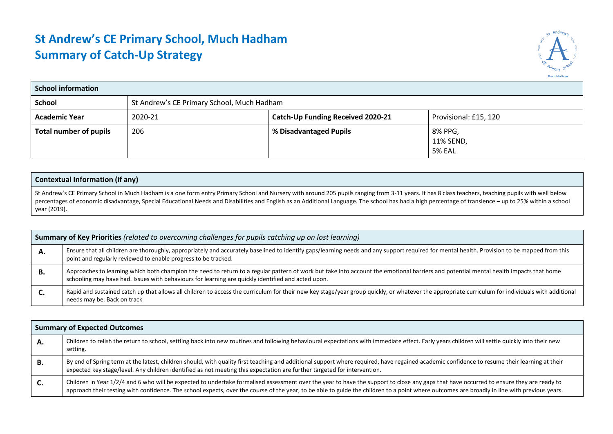## **St Andrew's CE Primary School, Much Hadham Summary of Catch-Up Strategy**



| <b>School information</b> |         |                                                            |                                       |  |  |  |  |
|---------------------------|---------|------------------------------------------------------------|---------------------------------------|--|--|--|--|
| School                    |         | St Andrew's CE Primary School, Much Hadham                 |                                       |  |  |  |  |
| <b>Academic Year</b>      | 2020-21 | Provisional: £15, 120<br>Catch-Up Funding Received 2020-21 |                                       |  |  |  |  |
| Total number of pupils    | 206     | % Disadvantaged Pupils                                     | 8% PPG,<br>11% SEND,<br><b>5% EAL</b> |  |  |  |  |

| <b>Contextual Information (if any)</b>                                                                                                                                                                                                                                                                                                                                                                         |
|----------------------------------------------------------------------------------------------------------------------------------------------------------------------------------------------------------------------------------------------------------------------------------------------------------------------------------------------------------------------------------------------------------------|
| St Andrew's CE Primary School in Much Hadham is a one form entry Primary School and Nursery with around 205 pupils ranging from 3-11 years. It has 8 class teachers, teaching pupils with well below<br>percentages of economic disadvantage, Special Educational Needs and Disabilities and English as an Additional Language. The school has had a high percentage of transience – up to 25% within a school |
| year (2019).                                                                                                                                                                                                                                                                                                                                                                                                   |

|    | <b>Summary of Key Priorities</b> (related to overcoming challenges for pupils catching up on lost learning)                                                                                                                                                                                 |  |  |  |  |  |
|----|---------------------------------------------------------------------------------------------------------------------------------------------------------------------------------------------------------------------------------------------------------------------------------------------|--|--|--|--|--|
| А. | Ensure that all children are thoroughly, appropriately and accurately baselined to identify gaps/learning needs and any support required for mental health. Provision to be mapped from this<br>point and regularly reviewed to enable progress to be tracked.                              |  |  |  |  |  |
| В. | Approaches to learning which both champion the need to return to a regular pattern of work but take into account the emotional barriers and potential mental health impacts that home<br>schooling may have had. Issues with behaviours for learning are quickly identified and acted upon. |  |  |  |  |  |
| .С | Rapid and sustained catch up that allows all children to access the curriculum for their new key stage/year group quickly, or whatever the appropriate curriculum for individuals with additional<br>needs may be. Back on track                                                            |  |  |  |  |  |

|    | <b>Summary of Expected Outcomes</b>                                                                                                                                                                                                                                                                                                                                                     |
|----|-----------------------------------------------------------------------------------------------------------------------------------------------------------------------------------------------------------------------------------------------------------------------------------------------------------------------------------------------------------------------------------------|
| А. | Children to relish the return to school, settling back into new routines and following behavioural expectations with immediate effect. Early years children will settle quickly into their new<br>setting.                                                                                                                                                                              |
| В. | By end of Spring term at the latest, children should, with quality first teaching and additional support where required, have regained academic confidence to resume their learning at their<br>expected key stage/level. Any children identified as not meeting this expectation are further targeted for intervention.                                                                |
| C. | Children in Year 1/2/4 and 6 who will be expected to undertake formalised assessment over the year to have the support to close any gaps that have occurred to ensure they are ready to<br>approach their testing with confidence. The school expects, over the course of the year, to be able to guide the children to a point where outcomes are broadly in line with previous years. |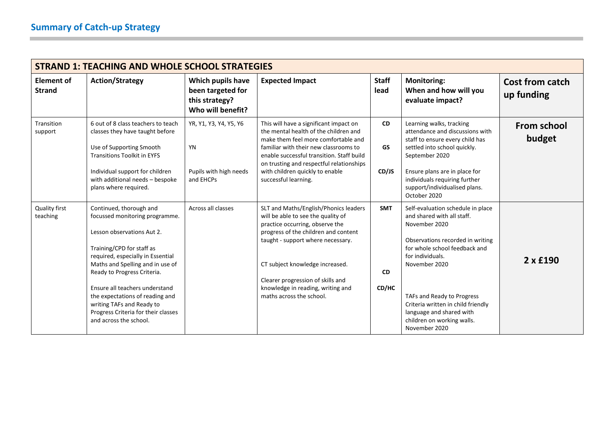|                                  | <b>STRAND 1: TEACHING AND WHOLE SCHOOL STRATEGIES</b>                                                                                                                                                                                                                                                                                                                                           |                                                                               |                                                                                                                                                                                                                                                                                                                                      |                                  |                                                                                                                                                                                                                                                                                                                                           |                               |  |
|----------------------------------|-------------------------------------------------------------------------------------------------------------------------------------------------------------------------------------------------------------------------------------------------------------------------------------------------------------------------------------------------------------------------------------------------|-------------------------------------------------------------------------------|--------------------------------------------------------------------------------------------------------------------------------------------------------------------------------------------------------------------------------------------------------------------------------------------------------------------------------------|----------------------------------|-------------------------------------------------------------------------------------------------------------------------------------------------------------------------------------------------------------------------------------------------------------------------------------------------------------------------------------------|-------------------------------|--|
| Element of<br><b>Strand</b>      | <b>Action/Strategy</b>                                                                                                                                                                                                                                                                                                                                                                          | Which pupils have<br>been targeted for<br>this strategy?<br>Who will benefit? | <b>Expected Impact</b>                                                                                                                                                                                                                                                                                                               | <b>Staff</b><br>lead             | <b>Monitoring:</b><br>When and how will you<br>evaluate impact?                                                                                                                                                                                                                                                                           | Cost from catch<br>up funding |  |
| Transition<br>support            | 6 out of 8 class teachers to teach<br>classes they have taught before<br>Use of Supporting Smooth<br><b>Transitions Toolkit in EYFS</b><br>Individual support for children<br>with additional needs - bespoke<br>plans where required.                                                                                                                                                          | YR, Y1, Y3, Y4, Y5, Y6<br><b>YN</b><br>Pupils with high needs<br>and EHCPs    | This will have a significant impact on<br>the mental health of the children and<br>make them feel more comfortable and<br>familiar with their new classrooms to<br>enable successful transition. Staff build<br>on trusting and respectful relationships<br>with children quickly to enable<br>successful learning.                  | <b>CD</b><br><b>GS</b><br>CD/JS  | Learning walks, tracking<br>attendance and discussions with<br>staff to ensure every child has<br>settled into school quickly.<br>September 2020<br>Ensure plans are in place for<br>individuals requiring further<br>support/individualised plans.<br>October 2020                                                                       | <b>From school</b><br>budget  |  |
| <b>Quality first</b><br>teaching | Continued, thorough and<br>focussed monitoring programme.<br>Lesson observations Aut 2.<br>Training/CPD for staff as<br>required, especially in Essential<br>Maths and Spelling and in use of<br>Ready to Progress Criteria.<br>Ensure all teachers understand<br>the expectations of reading and<br>writing TAFs and Ready to<br>Progress Criteria for their classes<br>and across the school. | Across all classes                                                            | SLT and Maths/English/Phonics leaders<br>will be able to see the quality of<br>practice occurring, observe the<br>progress of the children and content<br>taught - support where necessary.<br>CT subject knowledge increased.<br>Clearer progression of skills and<br>knowledge in reading, writing and<br>maths across the school. | <b>SMT</b><br><b>CD</b><br>CD/HC | Self-evaluation schedule in place<br>and shared with all staff.<br>November 2020<br>Observations recorded in writing<br>for whole school feedback and<br>for individuals.<br>November 2020<br>TAFs and Ready to Progress<br>Criteria written in child friendly<br>language and shared with<br>children on working walls.<br>November 2020 | $2 \times$ £190               |  |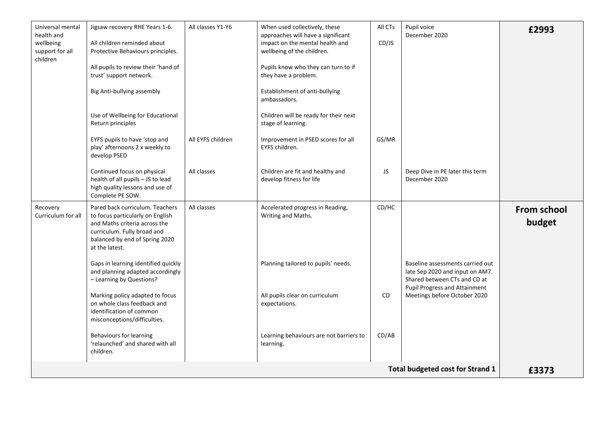| Universal mental<br>health and<br>wellbeing<br>support for all<br>children | Jigsaw recovery RHE Years 1-6.<br>All children reminded about<br>Protective Behaviours principles.                                                                                      | All classes Y1-Y6 | When used collectively, these<br>approaches will have a significant<br>impact on the mental health and<br>wellbeing of the children. | All CTs<br>CD/JS | Pupil voice<br>December 2020                                                                                                                | £2993                        |
|----------------------------------------------------------------------------|-----------------------------------------------------------------------------------------------------------------------------------------------------------------------------------------|-------------------|--------------------------------------------------------------------------------------------------------------------------------------|------------------|---------------------------------------------------------------------------------------------------------------------------------------------|------------------------------|
|                                                                            | All pupils to review their 'hand of<br>trust' support network.                                                                                                                          |                   | Pupils know who they can turn to if<br>they have a problem.                                                                          |                  |                                                                                                                                             |                              |
|                                                                            | Big Anti-bullying assembly                                                                                                                                                              |                   | Establishment of anti-bullying<br>ambassadors.                                                                                       |                  |                                                                                                                                             |                              |
|                                                                            | Use of Wellbeing for Educational<br>Return principles                                                                                                                                   |                   | Children will be ready for their next<br>stage of learning.                                                                          |                  |                                                                                                                                             |                              |
|                                                                            | EYFS pupils to have 'stop and<br>play' afternoons 2 x weekly to<br>develop PSED                                                                                                         | All EYFS children | Improvement in PSED scores for all<br>EYFS children.                                                                                 | GS/MR            |                                                                                                                                             |                              |
|                                                                            | Continued focus on physical<br>health of all pupils - JS to lead<br>high quality lessons and use of<br>Complete PE SOW.                                                                 | All classes       | Children are fit and healthy and<br>develop fitness for life                                                                         | JS               | Deep Dive in PE later this term<br>December 2020                                                                                            |                              |
| Recovery<br>Curriculum for all                                             | Pared back curriculum. Teachers<br>to focus particularly on English<br>and Maths criteria across the<br>curriculum. Fully broad and<br>balanced by end of Spring 2020<br>at the latest. | All classes       | Accelerated progress in Reading,<br>Writing and Maths.                                                                               | CD/HC            |                                                                                                                                             | <b>From school</b><br>budget |
|                                                                            | Gaps in learning identified quickly<br>and planning adapted accordingly<br>- Learning by Questions?                                                                                     |                   | Planning tailored to pupils' needs.                                                                                                  |                  | Baseline assessments carried out<br>late Sep 2020 and input on AM7.<br>Shared between CTs and CD at<br><b>Pupil Progress and Attainment</b> |                              |
|                                                                            | Marking policy adapted to focus<br>on whole class feedback and<br>identification of common<br>misconceptions/difficulties.                                                              |                   | All pupils clear on curriculum<br>expectations.                                                                                      | <b>CD</b>        | Meetings before October 2020                                                                                                                |                              |
|                                                                            | <b>Behaviours for learning</b><br>'relaunched' and shared with all<br>children.                                                                                                         |                   | Learning behaviours are not barriers to<br>learning.                                                                                 | CD/AB            |                                                                                                                                             |                              |
| <b>Total budgeted cost for Strand 1</b>                                    |                                                                                                                                                                                         |                   |                                                                                                                                      |                  |                                                                                                                                             |                              |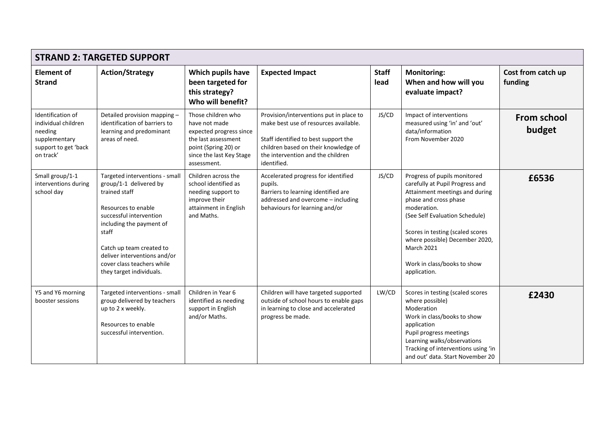|                                                                                                           | <b>STRAND 2: TARGETED SUPPORT</b>                                                                                                                                                                                                                                                      |                                                                                                                                                          |                                                                                                                                                                                                                      |                      |                                                                                                                                                                                                                                                                                                                       |                               |  |
|-----------------------------------------------------------------------------------------------------------|----------------------------------------------------------------------------------------------------------------------------------------------------------------------------------------------------------------------------------------------------------------------------------------|----------------------------------------------------------------------------------------------------------------------------------------------------------|----------------------------------------------------------------------------------------------------------------------------------------------------------------------------------------------------------------------|----------------------|-----------------------------------------------------------------------------------------------------------------------------------------------------------------------------------------------------------------------------------------------------------------------------------------------------------------------|-------------------------------|--|
| <b>Element of</b><br><b>Strand</b>                                                                        | <b>Action/Strategy</b>                                                                                                                                                                                                                                                                 | Which pupils have<br>been targeted for<br>this strategy?<br>Who will benefit?                                                                            | <b>Expected Impact</b>                                                                                                                                                                                               | <b>Staff</b><br>lead | <b>Monitoring:</b><br>When and how will you<br>evaluate impact?                                                                                                                                                                                                                                                       | Cost from catch up<br>funding |  |
| Identification of<br>individual children<br>needing<br>supplementary<br>support to get 'back<br>on track' | Detailed provision mapping -<br>identification of barriers to<br>learning and predominant<br>areas of need.                                                                                                                                                                            | Those children who<br>have not made<br>expected progress since<br>the last assessment<br>point (Spring 20) or<br>since the last Key Stage<br>assessment. | Provision/interventions put in place to<br>make best use of resources available.<br>Staff identified to best support the<br>children based on their knowledge of<br>the intervention and the children<br>identified. | JS/CD                | Impact of interventions<br>measured using 'in' and 'out'<br>data/information<br>From November 2020                                                                                                                                                                                                                    | <b>From school</b><br>budget  |  |
| Small group/1-1<br>interventions during<br>school day                                                     | Targeted interventions - small<br>group/1-1 delivered by<br>trained staff<br>Resources to enable<br>successful intervention<br>including the payment of<br>staff<br>Catch up team created to<br>deliver interventions and/or<br>cover class teachers while<br>they target individuals. | Children across the<br>school identified as<br>needing support to<br>improve their<br>attainment in English<br>and Maths.                                | Accelerated progress for identified<br>pupils.<br>Barriers to learning identified are<br>addressed and overcome - including<br>behaviours for learning and/or                                                        | JS/CD                | Progress of pupils monitored<br>carefully at Pupil Progress and<br>Attainment meetings and during<br>phase and cross phase<br>moderation.<br>(See Self Evaluation Schedule)<br>Scores in testing (scaled scores<br>where possible) December 2020,<br><b>March 2021</b><br>Work in class/books to show<br>application. | £6536                         |  |
| Y5 and Y6 morning<br>booster sessions                                                                     | Targeted interventions - small<br>group delivered by teachers<br>up to 2 x weekly.<br>Resources to enable<br>successful intervention.                                                                                                                                                  | Children in Year 6<br>identified as needing<br>support in English<br>and/or Maths.                                                                       | Children will have targeted supported<br>outside of school hours to enable gaps<br>in learning to close and accelerated<br>progress be made.                                                                         | LW/CD                | Scores in testing (scaled scores<br>where possible)<br>Moderation<br>Work in class/books to show<br>application<br>Pupil progress meetings<br>Learning walks/observations<br>Tracking of interventions using 'in<br>and out' data. Start November 20                                                                  | £2430                         |  |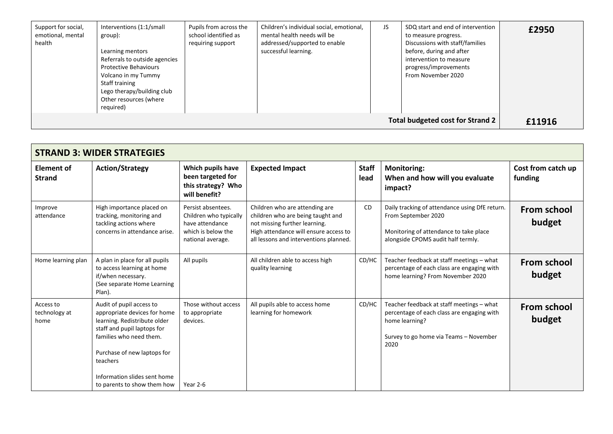| Support for social,<br>emotional, mental<br>health | Interventions (1:1/small<br>group):<br>Learning mentors<br>Referrals to outside agencies<br><b>Protective Behaviours</b><br>Volcano in my Tummy<br>Staff training<br>Lego therapy/building club<br>Other resources (where<br>required) | Pupils from across the<br>school identified as<br>requiring support | Children's individual social, emotional,<br>mental health needs will be<br>addressed/supported to enable<br>successful learning. | JS. | SDQ start and end of intervention<br>to measure progress.<br>Discussions with staff/families<br>before, during and after<br>intervention to measure<br>progress/improvements<br>From November 2020 | £2950  |
|----------------------------------------------------|----------------------------------------------------------------------------------------------------------------------------------------------------------------------------------------------------------------------------------------|---------------------------------------------------------------------|----------------------------------------------------------------------------------------------------------------------------------|-----|----------------------------------------------------------------------------------------------------------------------------------------------------------------------------------------------------|--------|
| Total budgeted cost for Strand 2                   |                                                                                                                                                                                                                                        |                                                                     |                                                                                                                                  |     |                                                                                                                                                                                                    | £11916 |

| <b>STRAND 3: WIDER STRATEGIES</b>  |                                                                                                                                                                                                                                                              |                                                                                                            |                                                                                                                                                                                         |                      |                                                                                                                                                             |                               |
|------------------------------------|--------------------------------------------------------------------------------------------------------------------------------------------------------------------------------------------------------------------------------------------------------------|------------------------------------------------------------------------------------------------------------|-----------------------------------------------------------------------------------------------------------------------------------------------------------------------------------------|----------------------|-------------------------------------------------------------------------------------------------------------------------------------------------------------|-------------------------------|
| <b>Element of</b><br><b>Strand</b> | <b>Action/Strategy</b>                                                                                                                                                                                                                                       | Which pupils have<br>been targeted for<br>this strategy? Who<br>will benefit?                              | <b>Expected Impact</b>                                                                                                                                                                  | <b>Staff</b><br>lead | <b>Monitoring:</b><br>When and how will you evaluate<br>impact?                                                                                             | Cost from catch up<br>funding |
| Improve<br>attendance              | High importance placed on<br>tracking, monitoring and<br>tackling actions where<br>concerns in attendance arise.                                                                                                                                             | Persist absentees.<br>Children who typically<br>have attendance<br>which is below the<br>national average. | Children who are attending are<br>children who are being taught and<br>not missing further learning.<br>High attendance will ensure access to<br>all lessons and interventions planned. | <b>CD</b>            | Daily tracking of attendance using DfE return.<br>From September 2020<br>Monitoring of attendance to take place<br>alongside CPOMS audit half termly.       | From school<br>budget         |
| Home learning plan                 | A plan in place for all pupils<br>to access learning at home<br>if/when necessary.<br>(See separate Home Learning<br>Plan).                                                                                                                                  | All pupils                                                                                                 | All children able to access high<br>quality learning                                                                                                                                    | CD/HC                | Teacher feedback at staff meetings - what<br>percentage of each class are engaging with<br>home learning? From November 2020                                | From school<br>budget         |
| Access to<br>technology at<br>home | Audit of pupil access to<br>appropriate devices for home<br>learning. Redistribute older<br>staff and pupil laptops for<br>families who need them.<br>Purchase of new laptops for<br>teachers<br>Information slides sent home<br>to parents to show them how | Those without access<br>to appropriate<br>devices.<br>Year 2-6                                             | All pupils able to access home<br>learning for homework                                                                                                                                 | CD/HC                | Teacher feedback at staff meetings - what<br>percentage of each class are engaging with<br>home learning?<br>Survey to go home via Teams - November<br>2020 | <b>From school</b><br>budget  |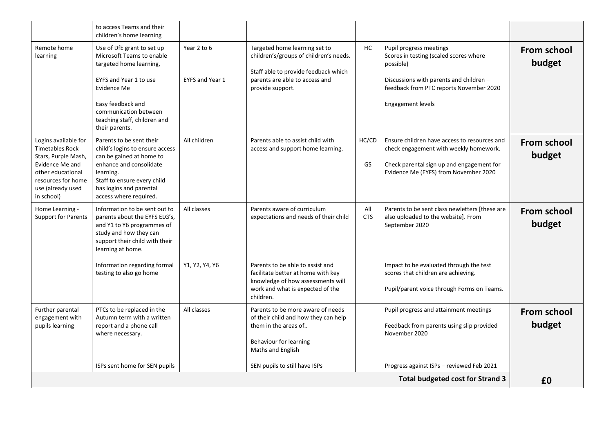|                                                                                                                                                                 | to access Teams and their<br>children's home learning                                                                                                                                                                       |                                |                                                                                                                                                                                          |                   |                                                                                                                                                                                           |                              |
|-----------------------------------------------------------------------------------------------------------------------------------------------------------------|-----------------------------------------------------------------------------------------------------------------------------------------------------------------------------------------------------------------------------|--------------------------------|------------------------------------------------------------------------------------------------------------------------------------------------------------------------------------------|-------------------|-------------------------------------------------------------------------------------------------------------------------------------------------------------------------------------------|------------------------------|
| Remote home<br>learning                                                                                                                                         | Use of DfE grant to set up<br>Microsoft Teams to enable<br>targeted home learning,<br>EYFS and Year 1 to use<br>Evidence Me<br>Easy feedback and<br>communication between<br>teaching staff, children and<br>their parents. | Year 2 to 6<br>EYFS and Year 1 | Targeted home learning set to<br>children's/groups of children's needs.<br>Staff able to provide feedback which<br>parents are able to access and<br>provide support.                    | HC                | Pupil progress meetings<br>Scores in testing (scaled scores where<br>possible)<br>Discussions with parents and children -<br>feedback from PTC reports November 2020<br>Engagement levels | <b>From school</b><br>budget |
| Logins available for<br>Timetables Rock<br>Stars, Purple Mash,<br>Evidence Me and<br>other educational<br>resources for home<br>use (already used<br>in school) | Parents to be sent their<br>child's logins to ensure access<br>can be gained at home to<br>enhance and consolidate<br>learning.<br>Staff to ensure every child<br>has logins and parental<br>access where required.         | All children                   | Parents able to assist child with<br>access and support home learning.                                                                                                                   | HC/CD<br>GS       | Ensure children have access to resources and<br>check engagement with weekly homework.<br>Check parental sign up and engagement for<br>Evidence Me (EYFS) from November 2020              | <b>From school</b><br>budget |
| Home Learning -<br><b>Support for Parents</b>                                                                                                                   | Information to be sent out to<br>parents about the EYFS ELG's,<br>and Y1 to Y6 programmes of<br>study and how they can<br>support their child with their<br>learning at home.                                               | All classes                    | Parents aware of curriculum<br>expectations and needs of their child                                                                                                                     | All<br><b>CTS</b> | Parents to be sent class newletters [these are<br>also uploaded to the website]. From<br>September 2020                                                                                   | From school<br>budget        |
|                                                                                                                                                                 | Information regarding formal<br>testing to also go home                                                                                                                                                                     | Y1, Y2, Y4, Y6                 | Parents to be able to assist and<br>facilitate better at home with key<br>knowledge of how assessments will<br>work and what is expected of the<br>children.                             |                   | Impact to be evaluated through the test<br>scores that children are achieving.<br>Pupil/parent voice through Forms on Teams.                                                              |                              |
| Further parental<br>engagement with<br>pupils learning                                                                                                          | PTCs to be replaced in the<br>Autumn term with a written<br>report and a phone call<br>where necessary.<br>ISPs sent home for SEN pupils                                                                                    | All classes                    | Parents to be more aware of needs<br>of their child and how they can help<br>them in the areas of<br>Behaviour for learning<br><b>Maths and English</b><br>SEN pupils to still have ISPs |                   | Pupil progress and attainment meetings<br>Feedback from parents using slip provided<br>November 2020<br>Progress against ISPs - reviewed Feb 2021                                         | From school<br>budget        |
|                                                                                                                                                                 |                                                                                                                                                                                                                             |                                |                                                                                                                                                                                          |                   | <b>Total budgeted cost for Strand 3</b>                                                                                                                                                   | £0                           |